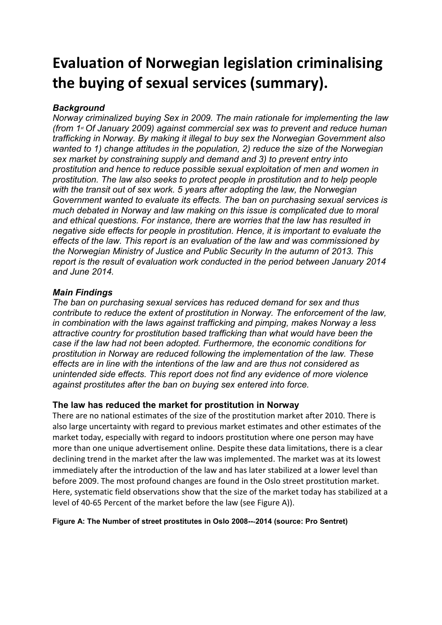# **Evaluation of Norwegian legislation criminalising the buying of sexual services (summary).**

# *Background*

*Norway criminalized buying Sex in 2009. The main rationale for implementing the law (from 1st Of January 2009) against commercial sex was to prevent and reduce human trafficking in Norway. By making it illegal to buy sex the Norwegian Government also wanted to 1) change attitudes in the population, 2) reduce the size of the Norwegian sex market by constraining supply and demand and 3) to prevent entry into prostitution and hence to reduce possible sexual exploitation of men and women in prostitution. The law also seeks to protect people in prostitution and to help people with the transit out of sex work. 5 years after adopting the law, the Norwegian Government wanted to evaluate its effects. The ban on purchasing sexual services is much debated in Norway and law making on this issue is complicated due to moral and ethical questions. For instance, there are worries that the law has resulted in negative side effects for people in prostitution. Hence, it is important to evaluate the effects of the law. This report is an evaluation of the law and was commissioned by the Norwegian Ministry of Justice and Public Security In the autumn of 2013. This report is the result of evaluation work conducted in the period between January 2014 and June 2014.* 

## *Main Findings*

*The ban on purchasing sexual services has reduced demand for sex and thus contribute to reduce the extent of prostitution in Norway. The enforcement of the law, in combination with the laws against trafficking and pimping, makes Norway a less attractive country for prostitution based trafficking than what would have been the case if the law had not been adopted. Furthermore, the economic conditions for prostitution in Norway are reduced following the implementation of the law. These effects are in line with the intentions of the law and are thus not considered as unintended side effects. This report does not find any evidence of more violence against prostitutes after the ban on buying sex entered into force.*

## **The law has reduced the market for prostitution in Norway**

There are no national estimates of the size of the prostitution market after 2010. There is also large uncertainty with regard to previous market estimates and other estimates of the market today, especially with regard to indoors prostitution where one person may have more than one unique advertisement online. Despite these data limitations, there is a clear declining trend in the market after the law was implemented. The market was at its lowest immediately after the introduction of the law and has later stabilized at a lower level than before 2009. The most profound changes are found in the Oslo street prostitution market. Here, systematic field observations show that the size of the market today has stabilized at a level of 40‐65 Percent of the market before the law (see Figure A)).

## **Figure A: The Number of street prostitutes in Oslo 2008--**‐**2014 (source: Pro Sentret)**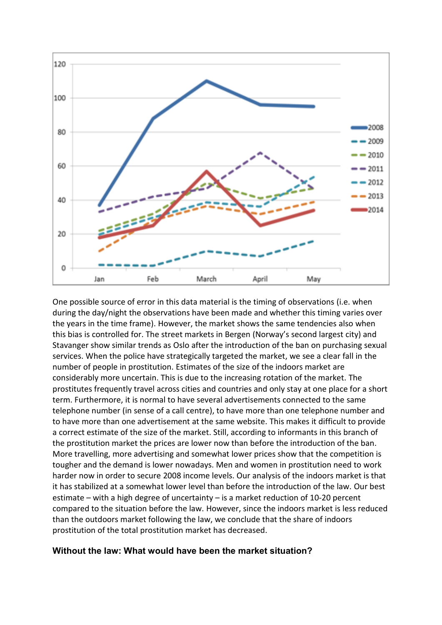

One possible source of error in this data material is the timing of observations (i.e. when during the day/night the observations have been made and whether this timing varies over the years in the time frame). However, the market shows the same tendencies also when this bias is controlled for. The street markets in Bergen (Norway's second largest city) and Stavanger show similar trends as Oslo after the introduction of the ban on purchasing sexual services. When the police have strategically targeted the market, we see a clear fall in the number of people in prostitution. Estimates of the size of the indoors market are considerably more uncertain. This is due to the increasing rotation of the market. The prostitutes frequently travel across cities and countries and only stay at one place for a short term. Furthermore, it is normal to have several advertisements connected to the same telephone number (in sense of a call centre), to have more than one telephone number and to have more than one advertisement at the same website. This makes it difficult to provide a correct estimate of the size of the market. Still, according to informants in this branch of the prostitution market the prices are lower now than before the introduction of the ban. More travelling, more advertising and somewhat lower prices show that the competition is tougher and the demand is lower nowadays. Men and women in prostitution need to work harder now in order to secure 2008 income levels. Our analysis of the indoors market is that it has stabilized at a somewhat lower level than before the introduction of the law. Our best estimate – with a high degree of uncertainty – is a market reduction of 10-20 percent compared to the situation before the law. However, since the indoors market is less reduced than the outdoors market following the law, we conclude that the share of indoors prostitution of the total prostitution market has decreased.

## **Without the law: What would have been the market situation?**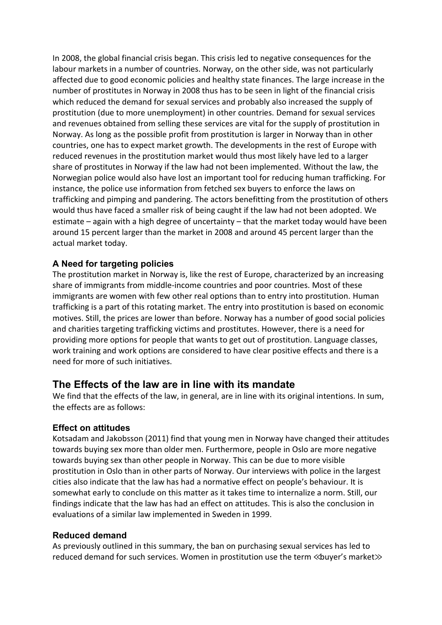In 2008, the global financial crisis began. This crisis led to negative consequences for the labour markets in a number of countries. Norway, on the other side, was not particularly affected due to good economic policies and healthy state finances. The large increase in the number of prostitutes in Norway in 2008 thus has to be seen in light of the financial crisis which reduced the demand for sexual services and probably also increased the supply of prostitution (due to more unemployment) in other countries. Demand for sexual services and revenues obtained from selling these services are vital for the supply of prostitution in Norway. As long as the possible profit from prostitution is larger in Norway than in other countries, one has to expect market growth. The developments in the rest of Europe with reduced revenues in the prostitution market would thus most likely have led to a larger share of prostitutes in Norway if the law had not been implemented. Without the law, the Norwegian police would also have lost an important tool for reducing human trafficking. For instance, the police use information from fetched sex buyers to enforce the laws on trafficking and pimping and pandering. The actors benefitting from the prostitution of others would thus have faced a smaller risk of being caught if the law had not been adopted. We estimate – again with a high degree of uncertainty – that the market today would have been around 15 percent larger than the market in 2008 and around 45 percent larger than the actual market today.

## **A Need for targeting policies**

The prostitution market in Norway is, like the rest of Europe, characterized by an increasing share of immigrants from middle-income countries and poor countries. Most of these immigrants are women with few other real options than to entry into prostitution. Human trafficking is a part of this rotating market. The entry into prostitution is based on economic motives. Still, the prices are lower than before. Norway has a number of good social policies and charities targeting trafficking victims and prostitutes. However, there is a need for providing more options for people that wants to get out of prostitution. Language classes, work training and work options are considered to have clear positive effects and there is a need for more of such initiatives.

## **The Effects of the law are in line with its mandate**

We find that the effects of the law, in general, are in line with its original intentions. In sum, the effects are as follows:

#### **Effect on attitudes**

Kotsadam and Jakobsson (2011) find that young men in Norway have changed their attitudes towards buying sex more than older men. Furthermore, people in Oslo are more negative towards buying sex than other people in Norway. This can be due to more visible prostitution in Oslo than in other parts of Norway. Our interviews with police in the largest cities also indicate that the law has had a normative effect on people's behaviour. It is somewhat early to conclude on this matter as it takes time to internalize a norm. Still, our findings indicate that the law has had an effect on attitudes. This is also the conclusion in evaluations of a similar law implemented in Sweden in 1999.

#### **Reduced demand**

As previously outlined in this summary, the ban on purchasing sexual services has led to reduced demand for such services. Women in prostitution use the term ≪buyer's market≫